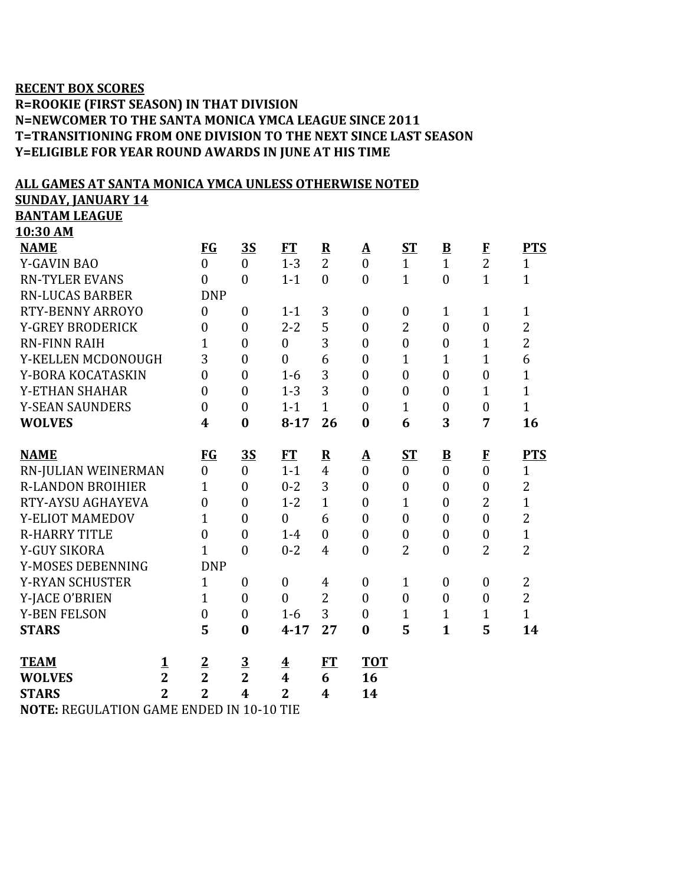## **RECENT BOX SCORES**

## **R=ROOKIE (FIRST SEASON) IN THAT DIVISION N=NEWCOMER TO THE SANTA MONICA YMCA LEAGUE SINCE 2011 T=TRANSITIONING FROM ONE DIVISION TO THE NEXT SINCE LAST SEASON Y=ELIGIBLE FOR YEAR ROUND AWARDS IN JUNE AT HIS TIME**

## **ALL GAMES AT SANTA MONICA YMCA UNLESS OTHERWISE NOTED**

**SUNDAY, JANUARY 14**

**BANTAM LEAGUE 10:30 AM**

| <b>NAME</b>                                     |                | $FG$             | <u>3S</u>        | FT                      | $\overline{\mathbf{R}}$ | ${\bf A}$        | ST               | $\underline{\mathbf{B}}$ | $\mathbf{F}$   | <b>PTS</b>     |
|-------------------------------------------------|----------------|------------------|------------------|-------------------------|-------------------------|------------------|------------------|--------------------------|----------------|----------------|
| <b>Y-GAVIN BAO</b>                              |                | $\overline{0}$   | $\overline{0}$   | $1 - 3$                 | $\overline{2}$          | $\overline{0}$   | $\mathbf{1}$     | $\mathbf{1}$             | $\overline{2}$ | $\mathbf{1}$   |
| <b>RN-TYLER EVANS</b>                           |                | $\overline{0}$   | $\theta$         | $1 - 1$                 | $\mathbf{0}$            | $\theta$         | $\mathbf{1}$     | $\overline{0}$           | $\mathbf{1}$   | $\mathbf{1}$   |
| <b>RN-LUCAS BARBER</b>                          |                | <b>DNP</b>       |                  |                         |                         |                  |                  |                          |                |                |
| <b>RTY-BENNY ARROYO</b>                         |                | $\boldsymbol{0}$ | $\theta$         | $1 - 1$                 | 3                       | $\overline{0}$   | $\boldsymbol{0}$ | 1                        | $\mathbf{1}$   | $\mathbf{1}$   |
| <b>Y-GREY BRODERICK</b>                         |                | $\overline{0}$   | $\overline{0}$   | $2 - 2$                 | 5                       | $\overline{0}$   | $\overline{2}$   | $\overline{0}$           | $\overline{0}$ | $\overline{2}$ |
| <b>RN-FINN RAIH</b>                             |                | $\overline{1}$   | $\overline{0}$   | $\overline{0}$          | 3                       | $\overline{0}$   | $\overline{0}$   | $\boldsymbol{0}$         | $\mathbf{1}$   | $\overline{2}$ |
| Y-KELLEN MCDONOUGH                              |                | 3                | $\theta$         | $\theta$                | 6                       | $\overline{0}$   | $\mathbf{1}$     | 1                        | $\overline{1}$ | 6              |
| Y-BORA KOCATASKIN                               |                | $\boldsymbol{0}$ | $\overline{0}$   | $1-6$                   | 3                       | $\overline{0}$   | $\overline{0}$   | $\boldsymbol{0}$         | $\overline{0}$ | $\mathbf{1}$   |
| Y-ETHAN SHAHAR                                  |                | $\theta$         | $\theta$         | $1 - 3$                 | 3                       | $\theta$         | $\overline{0}$   | $\overline{0}$           | $\mathbf{1}$   | $\mathbf{1}$   |
| <b>Y-SEAN SAUNDERS</b>                          |                | $\boldsymbol{0}$ | $\overline{0}$   | $1 - 1$                 | $\mathbf{1}$            | $\overline{0}$   | $\mathbf{1}$     | $\boldsymbol{0}$         | $\overline{0}$ | $\mathbf{1}$   |
| <b>WOLVES</b>                                   |                | $\boldsymbol{4}$ | $\bf{0}$         | $8 - 17$                | 26                      | $\bf{0}$         | 6                | 3                        | 7              | 16             |
|                                                 |                |                  |                  |                         |                         |                  |                  |                          |                |                |
| <b>NAME</b>                                     |                | <b>FG</b>        | 3S               | FT                      | $\mathbf R$             | ${\bf A}$        | ST               | $\underline{\mathbf{B}}$ | ${\bf F}$      | <b>PTS</b>     |
| RN-JULIAN WEINERMAN                             |                | $\overline{0}$   | $\theta$         | $1 - 1$                 | $\overline{4}$          | $\overline{0}$   | $\mathbf{0}$     | $\overline{0}$           | $\theta$       | $\mathbf{1}$   |
| <b>R-LANDON BROIHIER</b>                        |                | 1                | $\overline{0}$   | $0 - 2$                 | 3                       | $\overline{0}$   | $\boldsymbol{0}$ | $\boldsymbol{0}$         | $\overline{0}$ | $\overline{2}$ |
| RTY-AYSU AGHAYEVA                               |                | $\overline{0}$   | $\overline{0}$   | $1 - 2$                 | $\mathbf{1}$            | $\overline{0}$   | 1                | $\boldsymbol{0}$         | $\overline{2}$ | $\mathbf{1}$   |
| Y-ELIOT MAMEDOV                                 |                | $\overline{1}$   | $\overline{0}$   | $\mathbf{0}$            | 6                       | $\overline{0}$   | $\overline{0}$   | $\boldsymbol{0}$         | $\overline{0}$ | $\overline{2}$ |
| <b>R-HARRY TITLE</b>                            |                | $\overline{0}$   | $\overline{0}$   | $1 - 4$                 | $\boldsymbol{0}$        | $\overline{0}$   | $\boldsymbol{0}$ | $\boldsymbol{0}$         | $\overline{0}$ | $\mathbf{1}$   |
| Y-GUY SIKORA                                    |                | $\overline{1}$   | $\boldsymbol{0}$ | $0 - 2$                 | $\overline{4}$          | $\boldsymbol{0}$ | $\overline{2}$   | $\boldsymbol{0}$         | $\overline{2}$ | $\overline{2}$ |
| Y-MOSES DEBENNING                               |                | <b>DNP</b>       |                  |                         |                         |                  |                  |                          |                |                |
| <b>Y-RYAN SCHUSTER</b>                          |                | 1                | $\theta$         | $\mathbf{0}$            | $\overline{4}$          | $\overline{0}$   | $\mathbf{1}$     | $\overline{0}$           | $\mathbf{0}$   | $\overline{2}$ |
| Y-JACE O'BRIEN                                  |                | 1                | $\mathbf{0}$     | $\overline{0}$          | $\overline{2}$          | $\overline{0}$   | $\overline{0}$   | $\overline{0}$           | $\mathbf{0}$   | $\overline{2}$ |
| <b>Y-BEN FELSON</b>                             |                | $\boldsymbol{0}$ | $\mathbf{0}$     | $1-6$                   | 3                       | $\overline{0}$   | $\mathbf{1}$     | $\mathbf{1}$             | $\mathbf{1}$   | $\mathbf{1}$   |
| <b>STARS</b>                                    |                | 5                | $\bf{0}$         | $4 - 17$                | 27                      | $\bf{0}$         | 5                | $\mathbf{1}$             | 5              | 14             |
|                                                 |                |                  |                  |                         |                         |                  |                  |                          |                |                |
| <b>TEAM</b>                                     | $\mathbf{1}$   | $\overline{2}$   | $\overline{3}$   | $\overline{\textbf{4}}$ | FT                      | <b>TOT</b>       |                  |                          |                |                |
| <b>WOLVES</b>                                   | $\overline{2}$ | $\overline{2}$   | $\overline{2}$   | 4                       | 6                       | 16               |                  |                          |                |                |
| <b>STARS</b>                                    | $\overline{2}$ | $\overline{2}$   | $\boldsymbol{4}$ | $\overline{2}$          | $\boldsymbol{4}$        | 14               |                  |                          |                |                |
| <b>NOTE, DECULATION CAME ENDED IN 10 10 THE</b> |                |                  |                  |                         |                         |                  |                  |                          |                |                |

**NOTE:** REGULATION GAME ENDED IN 10-10 TIE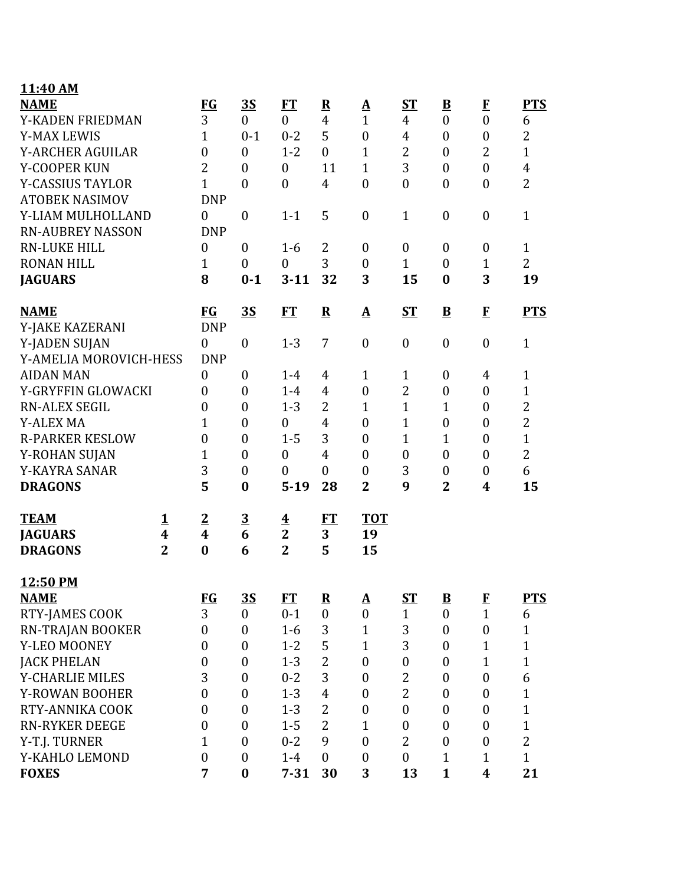| 11:40 AM                                   |                  |                  |                         |                         |                         |                          |                  |                          |                  |                |
|--------------------------------------------|------------------|------------------|-------------------------|-------------------------|-------------------------|--------------------------|------------------|--------------------------|------------------|----------------|
| <b>NAME</b>                                |                  | $FG$             | <u>35</u>               | FT                      | $\overline{\mathbf{R}}$ | $\mathbf{\underline{A}}$ | <b>ST</b>        | $\underline{\mathbf{B}}$ | $\mathbf{F}$     | <b>PTS</b>     |
| Y-KADEN FRIEDMAN                           |                  | 3                | $\overline{0}$          | $\theta$                | $\overline{4}$          | $\mathbf{1}$             | 4                | $\boldsymbol{0}$         | $\overline{0}$   | 6              |
| <b>Y-MAX LEWIS</b>                         |                  | $\mathbf{1}$     | $0 - 1$                 | $0 - 2$                 | 5                       | $\boldsymbol{0}$         | 4                | $\boldsymbol{0}$         | $\boldsymbol{0}$ | $\overline{2}$ |
| <b>Y-ARCHER AGUILAR</b>                    |                  | $\boldsymbol{0}$ | $\overline{0}$          | $1 - 2$                 | $\theta$                | $\mathbf{1}$             | $\overline{2}$   | $\boldsymbol{0}$         | $\overline{2}$   | $\mathbf{1}$   |
| Y-COOPER KUN                               |                  | $\overline{2}$   | $\mathbf{0}$            | $\boldsymbol{0}$        | 11                      | $\mathbf{1}$             | 3                | $\boldsymbol{0}$         | $\mathbf{0}$     | $\overline{4}$ |
| <b>Y-CASSIUS TAYLOR</b>                    |                  | $\mathbf{1}$     | $\boldsymbol{0}$        | $\boldsymbol{0}$        | $\overline{4}$          | $\boldsymbol{0}$         | $\boldsymbol{0}$ | $\boldsymbol{0}$         | $\boldsymbol{0}$ | $\overline{2}$ |
| <b>ATOBEK NASIMOV</b>                      |                  | <b>DNP</b>       |                         |                         |                         |                          |                  |                          |                  |                |
| Y-LIAM MULHOLLAND                          |                  | $\boldsymbol{0}$ | $\boldsymbol{0}$        | $1 - 1$                 | 5                       | $\boldsymbol{0}$         | $\mathbf{1}$     | $\boldsymbol{0}$         | $\boldsymbol{0}$ | $\mathbf{1}$   |
| <b>RN-AUBREY NASSON</b>                    |                  | <b>DNP</b>       |                         |                         |                         |                          |                  |                          |                  |                |
| <b>RN-LUKE HILL</b>                        |                  | $\boldsymbol{0}$ | $\mathbf{0}$            | $1 - 6$                 | 2                       | $\boldsymbol{0}$         | $\boldsymbol{0}$ | $\boldsymbol{0}$         | $\mathbf{0}$     | $\mathbf{1}$   |
| <b>RONAN HILL</b>                          |                  | $\mathbf{1}$     | $\boldsymbol{0}$        | $\overline{0}$          | 3                       | $\boldsymbol{0}$         | $\mathbf{1}$     | $\boldsymbol{0}$         | $\mathbf{1}$     | $\overline{2}$ |
| <b>JAGUARS</b>                             |                  | 8                | $0 - 1$                 | $3 - 11$                | 32                      | 3                        | 15               | $\bf{0}$                 | 3                | 19             |
| <b>NAME</b>                                |                  | <b>FG</b>        | <u>35</u>               | FT                      | ${\bf R}$               | $\mathbf{\Delta}$        | <b>ST</b>        | $\mathbf{B}$             | $\mathbf{F}$     | <b>PTS</b>     |
| Y-JAKE KAZERANI                            |                  | <b>DNP</b>       |                         |                         |                         |                          |                  |                          |                  |                |
| Y-JADEN SUJAN                              |                  | $\boldsymbol{0}$ | $\boldsymbol{0}$        | $1 - 3$                 | 7                       | $\boldsymbol{0}$         | $\boldsymbol{0}$ | $\boldsymbol{0}$         | $\boldsymbol{0}$ | $\mathbf{1}$   |
| Y-AMELIA MOROVICH-HESS                     |                  | <b>DNP</b>       |                         |                         |                         |                          |                  |                          |                  |                |
| <b>AIDAN MAN</b>                           |                  | $\boldsymbol{0}$ | $\boldsymbol{0}$        | $1 - 4$                 | 4                       | $\mathbf{1}$             | $\mathbf{1}$     | $\boldsymbol{0}$         | 4                | $\mathbf{1}$   |
| Y-GRYFFIN GLOWACKI<br><b>RN-ALEX SEGIL</b> |                  | $\boldsymbol{0}$ | $\boldsymbol{0}$        | $1-4$                   | 4                       | $\boldsymbol{0}$         | $\overline{2}$   | $\boldsymbol{0}$         | $\boldsymbol{0}$ | $\mathbf{1}$   |
|                                            |                  | $\boldsymbol{0}$ | $\mathbf{0}$            | $1 - 3$                 | 2                       | $\mathbf{1}$             | $\mathbf{1}$     | $\mathbf{1}$             | $\boldsymbol{0}$ | $\overline{2}$ |
| <b>Y-ALEX MA</b>                           |                  | 1                | $\mathbf{0}$            | $\overline{0}$          | $\overline{4}$          | $\boldsymbol{0}$         | $\mathbf{1}$     | $\boldsymbol{0}$         | $\mathbf{0}$     | $\overline{2}$ |
| <b>R-PARKER KESLOW</b>                     |                  | $\mathbf{0}$     | $\boldsymbol{0}$        | $1 - 5$                 | 3                       | $\boldsymbol{0}$         | $\mathbf{1}$     | $\mathbf{1}$             | $\boldsymbol{0}$ | $\mathbf{1}$   |
| Y-ROHAN SUJAN                              |                  | $\mathbf{1}$     | $\boldsymbol{0}$        | $\boldsymbol{0}$        | $\overline{4}$          | $\boldsymbol{0}$         | $\boldsymbol{0}$ | $\boldsymbol{0}$         | $\mathbf{0}$     | $\overline{2}$ |
| Y-KAYRA SANAR                              |                  | 3                | $\boldsymbol{0}$        | $\overline{0}$          | $\boldsymbol{0}$        | $\boldsymbol{0}$         | 3                | $\boldsymbol{0}$         | $\boldsymbol{0}$ | 6              |
| <b>DRAGONS</b>                             |                  | 5                | $\bf{0}$                | $5-19$                  | 28                      | $\overline{2}$           | 9                | $\overline{2}$           | 4                | 15             |
| <b>TEAM</b>                                | <u>1</u>         | $\overline{2}$   | $\overline{\mathbf{3}}$ | $\overline{\textbf{4}}$ | FT                      | <b>TOT</b>               |                  |                          |                  |                |
| <b>JAGUARS</b>                             | $\boldsymbol{4}$ | $\boldsymbol{4}$ | 6                       | $\overline{2}$          | 3                       | 19                       |                  |                          |                  |                |
| <b>DRAGONS</b>                             | $\mathbf{2}$     | $\bf{0}$         | 6                       | $\overline{2}$          | 5                       | 15                       |                  |                          |                  |                |
| 12:50 PM                                   |                  |                  |                         |                         |                         |                          |                  |                          |                  |                |
| <b>NAME</b>                                |                  | $FG$             | <u>35</u>               | FT                      | $\overline{\mathbf{R}}$ | Δ                        | <u>ST</u>        | $\underline{\mathbf{B}}$ | $\bf{F}$         | <b>PTS</b>     |
| RTY-JAMES COOK                             |                  | 3                | $\overline{0}$          | $0 - 1$                 | $\overline{0}$          | $\boldsymbol{0}$         | $\mathbf{1}$     | $\boldsymbol{0}$         | $\mathbf{1}$     | 6              |
| RN-TRAJAN BOOKER                           |                  | $\boldsymbol{0}$ | $\boldsymbol{0}$        | $1-6$                   | 3                       | $\mathbf{1}$             | 3                | $\boldsymbol{0}$         | $\boldsymbol{0}$ | $\mathbf{1}$   |
| Y-LEO MOONEY                               |                  | $\boldsymbol{0}$ | $\boldsymbol{0}$        | $1 - 2$                 | 5                       | $\mathbf{1}$             | 3                | $\boldsymbol{0}$         | $\mathbf{1}$     | $\mathbf{1}$   |
| <b>JACK PHELAN</b>                         |                  | $\boldsymbol{0}$ | $\boldsymbol{0}$        | $1 - 3$                 | $\overline{2}$          | $\boldsymbol{0}$         | $\boldsymbol{0}$ | $\boldsymbol{0}$         | $\mathbf 1$      | $\mathbf{1}$   |
| Y-CHARLIE MILES                            |                  | 3                | $\boldsymbol{0}$        | $0 - 2$                 | 3                       | $\boldsymbol{0}$         | $\overline{2}$   | $\boldsymbol{0}$         | $\boldsymbol{0}$ | 6              |
| <b>Y-ROWAN BOOHER</b>                      |                  | $\boldsymbol{0}$ | $\boldsymbol{0}$        | $1 - 3$                 | $\overline{4}$          | $\boldsymbol{0}$         | $\overline{2}$   | $\boldsymbol{0}$         | $\boldsymbol{0}$ | $\mathbf{1}$   |
| RTY-ANNIKA COOK                            |                  | $\boldsymbol{0}$ | $\boldsymbol{0}$        | $1 - 3$                 | 2                       | 0                        | $\boldsymbol{0}$ | $\boldsymbol{0}$         | $\boldsymbol{0}$ | $\mathbf{1}$   |
| <b>RN-RYKER DEEGE</b>                      |                  | $\boldsymbol{0}$ | $\boldsymbol{0}$        | $1 - 5$                 | $\overline{2}$          | $\mathbf{1}$             | $\boldsymbol{0}$ | $\boldsymbol{0}$         | $\boldsymbol{0}$ | $\mathbf{1}$   |
| Y-T.J. TURNER                              |                  | $\mathbf{1}$     | $\boldsymbol{0}$        | $0 - 2$                 | 9                       | $\boldsymbol{0}$         | $\overline{2}$   | $\boldsymbol{0}$         | $\boldsymbol{0}$ | $\overline{2}$ |
| Y-KAHLO LEMOND                             |                  | $\boldsymbol{0}$ | $\boldsymbol{0}$        | $1-4$                   | $\mathbf{0}$            | $\boldsymbol{0}$         | $\boldsymbol{0}$ | $\mathbf{1}$             | 1                | $\mathbf{1}$   |
| <b>FOXES</b>                               |                  | 7                | $\bf{0}$                | $7 - 31$                | 30                      | 3                        | 13               | $\mathbf{1}$             | 4                | 21             |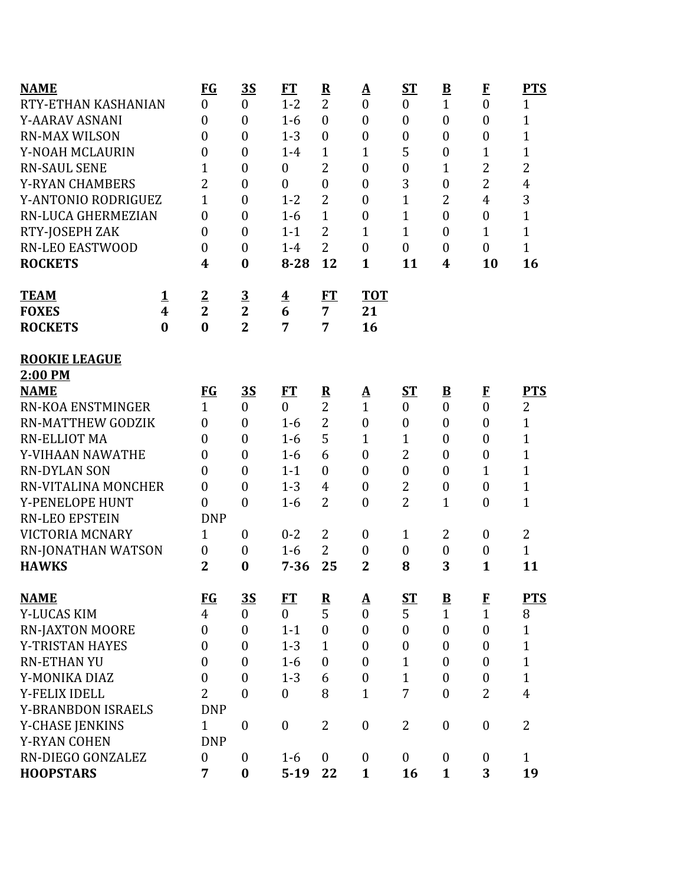| <b>NAME</b>               |          | <b>FG</b>        | 3S               | <b>FT</b>               | $\overline{\mathbf{R}}$ | <u>A</u>         | $ST$             | $\overline{\mathbf{B}}$ | $\bf{F}$         | <b>PTS</b>     |
|---------------------------|----------|------------------|------------------|-------------------------|-------------------------|------------------|------------------|-------------------------|------------------|----------------|
| RTY-ETHAN KASHANIAN       |          | $\boldsymbol{0}$ | $\boldsymbol{0}$ | $1 - 2$                 | $\overline{2}$          | $\boldsymbol{0}$ | $\boldsymbol{0}$ | $\mathbf{1}$            | $\boldsymbol{0}$ | $\mathbf{1}$   |
| Y-AARAV ASNANI            |          | $\overline{0}$   | $\boldsymbol{0}$ | $1-6$                   | $\boldsymbol{0}$        | $\boldsymbol{0}$ | $\boldsymbol{0}$ | $\overline{0}$          | $\overline{0}$   | $\mathbf{1}$   |
| <b>RN-MAX WILSON</b>      |          | $\overline{0}$   | $\boldsymbol{0}$ | $1 - 3$                 | $\mathbf{0}$            | $\boldsymbol{0}$ | $\boldsymbol{0}$ | $\boldsymbol{0}$        | $\boldsymbol{0}$ | $\mathbf{1}$   |
| Y-NOAH MCLAURIN           |          | $\boldsymbol{0}$ | $\mathbf{0}$     | $1 - 4$                 | $\mathbf{1}$            | $\mathbf{1}$     | 5                | $\boldsymbol{0}$        | $\mathbf{1}$     | $\mathbf{1}$   |
| <b>RN-SAUL SENE</b>       |          | $\mathbf{1}$     | $\mathbf{0}$     | $\mathbf{0}$            | $\overline{2}$          | $\boldsymbol{0}$ | $\boldsymbol{0}$ | $\mathbf{1}$            | 2                | $\overline{2}$ |
| <b>Y-RYAN CHAMBERS</b>    |          | $\overline{2}$   | $\boldsymbol{0}$ | $\overline{0}$          | $\boldsymbol{0}$        | $\boldsymbol{0}$ | 3                | $\boldsymbol{0}$        | $\overline{2}$   | $\overline{4}$ |
| Y-ANTONIO RODRIGUEZ       |          | $\overline{1}$   | $\mathbf{0}$     | $1 - 2$                 | $\overline{2}$          | $\boldsymbol{0}$ | 1                | $\overline{2}$          | $\overline{4}$   | 3              |
| RN-LUCA GHERMEZIAN        |          | $\overline{0}$   | $\mathbf{0}$     | $1-6$                   | $\mathbf{1}$            | $\boldsymbol{0}$ | $\overline{1}$   | $\overline{0}$          | $\overline{0}$   | $\mathbf{1}$   |
| RTY-JOSEPH ZAK            |          | $\boldsymbol{0}$ | $\mathbf{0}$     | $1 - 1$                 | $\overline{2}$          | $\mathbf{1}$     | $\mathbf{1}$     | $\boldsymbol{0}$        | $\mathbf{1}$     | $\mathbf{1}$   |
| <b>RN-LEO EASTWOOD</b>    |          | $\boldsymbol{0}$ | $\mathbf{0}$     | $1-4$                   | $\overline{2}$          | $\boldsymbol{0}$ | $\mathbf{0}$     | $\overline{0}$          | $\overline{0}$   | $\mathbf{1}$   |
| <b>ROCKETS</b>            |          | 4                | $\bf{0}$         | $8 - 28$                | 12                      | $\mathbf{1}$     | 11               | 4                       | 10               | 16             |
| <b>TEAM</b>               | <u>1</u> | $\overline{2}$   | $\overline{3}$   | $\overline{\mathbf{4}}$ | FT                      | <b>TOT</b>       |                  |                         |                  |                |
| <b>FOXES</b>              | 4        | $\overline{2}$   | $\overline{2}$   | 6                       | $\overline{7}$          | 21               |                  |                         |                  |                |
| <b>ROCKETS</b>            | $\bf{0}$ | $\bf{0}$         | $\overline{2}$   | 7                       | 7                       | 16               |                  |                         |                  |                |
| <b>ROOKIE LEAGUE</b>      |          |                  |                  |                         |                         |                  |                  |                         |                  |                |
| 2:00 PM                   |          |                  |                  |                         |                         |                  |                  |                         |                  |                |
| <b>NAME</b>               |          | <b>FG</b>        | <u>35</u>        | <b>FT</b>               | $\overline{\mathbf{R}}$ | <u>A</u>         | $S_{\rm T}$      | $\overline{\mathbf{B}}$ | E                | <b>PTS</b>     |
| <b>RN-KOA ENSTMINGER</b>  |          | $\mathbf{1}$     | $\mathbf{0}$     | $\mathbf{0}$            | $\overline{2}$          | $\mathbf{1}$     | $\mathbf{0}$     | $\overline{0}$          | $\mathbf{0}$     | 2              |
| <b>RN-MATTHEW GODZIK</b>  |          | $\boldsymbol{0}$ | $\mathbf{0}$     | $1-6$                   | $\overline{2}$          | $\boldsymbol{0}$ | $\boldsymbol{0}$ | $\boldsymbol{0}$        | $\overline{0}$   | $\mathbf{1}$   |
| <b>RN-ELLIOT MA</b>       |          | $\boldsymbol{0}$ | $\mathbf{0}$     | $1-6$                   | 5                       | $\mathbf{1}$     | 1                | $\boldsymbol{0}$        | $\overline{0}$   | $\mathbf{1}$   |
| Y-VIHAAN NAWATHE          |          | $\boldsymbol{0}$ | $\mathbf{0}$     | $1 - 6$                 | 6                       | $\boldsymbol{0}$ | 2                | $\boldsymbol{0}$        | $\overline{0}$   | $\mathbf{1}$   |
| <b>RN-DYLAN SON</b>       |          | $\overline{0}$   | $\mathbf{0}$     | $1 - 1$                 | $\mathbf{0}$            | $\boldsymbol{0}$ | $\boldsymbol{0}$ | $\overline{0}$          | $\mathbf{1}$     | $\mathbf{1}$   |
| RN-VITALINA MONCHER       |          | $\boldsymbol{0}$ | $\overline{0}$   | $1 - 3$                 | 4                       | $\boldsymbol{0}$ | 2                | $\boldsymbol{0}$        | $\boldsymbol{0}$ | $\mathbf{1}$   |
| Y-PENELOPE HUNT           |          | $\overline{0}$   | $\mathbf{0}$     | $1-6$                   | $\overline{2}$          | $\boldsymbol{0}$ | $\overline{2}$   | $\mathbf{1}$            | $\overline{0}$   | $\mathbf{1}$   |
| <b>RN-LEO EPSTEIN</b>     |          | <b>DNP</b>       |                  |                         |                         |                  |                  |                         |                  |                |
| <b>VICTORIA MCNARY</b>    |          | $\mathbf{1}$     | $\mathbf{0}$     | $0 - 2$                 | 2                       | $\boldsymbol{0}$ | $\mathbf{1}$     | 2                       | $\boldsymbol{0}$ | 2              |
| RN-JONATHAN WATSON        |          | $\boldsymbol{0}$ | $\boldsymbol{0}$ | $1-6$                   | $\overline{2}$          | $\boldsymbol{0}$ | $\boldsymbol{0}$ | $\boldsymbol{0}$        | $\boldsymbol{0}$ | $\mathbf{1}$   |
| <b>HAWKS</b>              |          | $\overline{2}$   | $\bf{0}$         | $7 - 36$                | 25                      | $\overline{2}$   | 8                | 3                       | $\mathbf{1}$     | 11             |
| <b>NAME</b>               |          | <u>FG</u>        | $\overline{35}$  | <b>FT</b>               | $\overline{\mathbf{R}}$ | <u>A</u>         | <u>ST</u>        | $\overline{\mathbf{B}}$ | E                | <b>PTS</b>     |
| Y-LUCAS KIM               |          | $\overline{4}$   | $\boldsymbol{0}$ | $\overline{0}$          | 5                       | $\boldsymbol{0}$ | 5                | $\mathbf{1}$            | $\mathbf{1}$     | 8              |
| <b>RN-JAXTON MOORE</b>    |          | $\boldsymbol{0}$ | $\mathbf{0}$     | $1 - 1$                 | $\mathbf{0}$            | $\mathbf{0}$     | $\mathbf{0}$     | $\overline{0}$          | $\boldsymbol{0}$ | $\mathbf{1}$   |
| Y-TRISTAN HAYES           |          | $\boldsymbol{0}$ | $\boldsymbol{0}$ | $1 - 3$                 | $\mathbf{1}$            | $\boldsymbol{0}$ | $\boldsymbol{0}$ | $\boldsymbol{0}$        | $\boldsymbol{0}$ | $\mathbf{1}$   |
| <b>RN-ETHAN YU</b>        |          | $\boldsymbol{0}$ | $\mathbf{0}$     | $1-6$                   | $\boldsymbol{0}$        | $\boldsymbol{0}$ | 1                | $\boldsymbol{0}$        | $\mathbf{0}$     | $\mathbf{1}$   |
| Y-MONIKA DIAZ             |          | $\boldsymbol{0}$ | $\mathbf{0}$     | $1 - 3$                 | 6                       | $\boldsymbol{0}$ | $\mathbf{1}$     | $\boldsymbol{0}$        | $\boldsymbol{0}$ | $\mathbf{1}$   |
| Y-FELIX IDELL             |          | $\overline{2}$   | $\theta$         | $\boldsymbol{0}$        | 8                       | $\mathbf{1}$     | 7                | $\overline{0}$          | $\overline{2}$   | $\overline{4}$ |
| <b>Y-BRANBDON ISRAELS</b> |          | <b>DNP</b>       |                  |                         |                         |                  |                  |                         |                  |                |
| <b>Y-CHASE JENKINS</b>    |          | $\mathbf{1}$     | $\mathbf{0}$     | $\boldsymbol{0}$        | $\overline{2}$          | $\boldsymbol{0}$ | 2                | $\boldsymbol{0}$        | $\boldsymbol{0}$ | 2              |
| <b>Y-RYAN COHEN</b>       |          | <b>DNP</b>       |                  |                         |                         |                  |                  |                         |                  |                |
| RN-DIEGO GONZALEZ         |          | $\boldsymbol{0}$ | $\mathbf{0}$     | $1 - 6$                 | $\mathbf{0}$            | $\boldsymbol{0}$ | $\boldsymbol{0}$ | $\boldsymbol{0}$        | $\boldsymbol{0}$ | $\mathbf{1}$   |
| <b>HOOPSTARS</b>          |          | 7                | $\bf{0}$         | $5-19$                  | 22                      | $\mathbf{1}$     | 16               | $\mathbf{1}$            | 3                | 19             |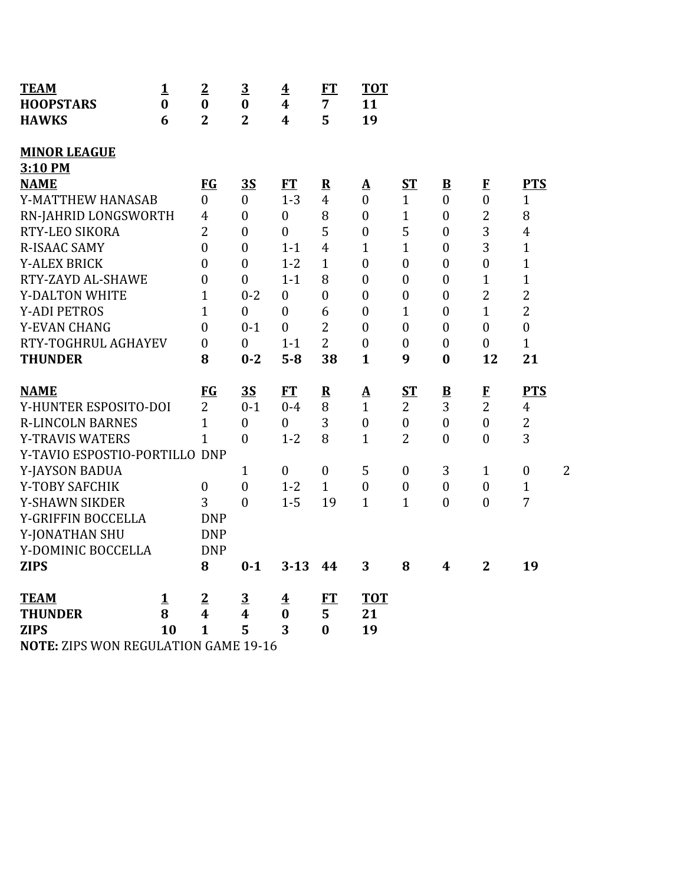| <b>TEAM</b>                                 | $\mathbf{1}$ | $\overline{2}$   | $\overline{3}$   | $\overline{\mathbf{4}}$ | FT               | <b>TOT</b>               |                  |                          |                  |                         |                |
|---------------------------------------------|--------------|------------------|------------------|-------------------------|------------------|--------------------------|------------------|--------------------------|------------------|-------------------------|----------------|
| <b>HOOPSTARS</b>                            | $\bf{0}$     | $\bf{0}$         | $\bf{0}$         | $\overline{\mathbf{4}}$ | 7                | 11                       |                  |                          |                  |                         |                |
| <b>HAWKS</b>                                | 6            | $\overline{2}$   | $\overline{2}$   | $\overline{\mathbf{4}}$ | 5                | 19                       |                  |                          |                  |                         |                |
| <b>MINOR LEAGUE</b>                         |              |                  |                  |                         |                  |                          |                  |                          |                  |                         |                |
| 3:10 PM                                     |              |                  |                  |                         |                  |                          |                  |                          |                  |                         |                |
| <b>NAME</b>                                 |              | <b>FG</b>        | <b>3S</b>        | <b>FT</b>               | ${\bf R}$        | $\mathbf{\underline{A}}$ | ST               | $\underline{\mathbf{B}}$ | $\bf{F}$         | <b>PTS</b>              |                |
| Y-MATTHEW HANASAB                           |              | $\overline{0}$   | $\overline{0}$   | $1 - 3$                 | $\overline{4}$   | $\mathbf{0}$             | $\mathbf{1}$     | $\boldsymbol{0}$         | $\boldsymbol{0}$ | $\mathbf{1}$            |                |
| RN-JAHRID LONGSWORTH                        |              | $\overline{4}$   | $\boldsymbol{0}$ | $\boldsymbol{0}$        | 8                | $\boldsymbol{0}$         | $\mathbf{1}$     | $\boldsymbol{0}$         | $\overline{2}$   | 8                       |                |
| RTY-LEO SIKORA                              |              | $\overline{2}$   | $\boldsymbol{0}$ | $\boldsymbol{0}$        | 5                | $\boldsymbol{0}$         | 5                | $\overline{0}$           | 3                | $\overline{\mathbf{4}}$ |                |
| <b>R-ISAAC SAMY</b>                         |              | $\overline{0}$   | $\boldsymbol{0}$ | $1 - 1$                 | $\overline{4}$   | $\mathbf{1}$             | $\mathbf{1}$     | $\boldsymbol{0}$         | 3                | $\mathbf{1}$            |                |
| <b>Y-ALEX BRICK</b>                         |              | $\overline{0}$   | $\boldsymbol{0}$ | $1 - 2$                 | $\mathbf{1}$     | $\boldsymbol{0}$         | $\boldsymbol{0}$ | $\boldsymbol{0}$         | $\boldsymbol{0}$ | $\mathbf{1}$            |                |
| RTY-ZAYD AL-SHAWE                           |              | $\overline{0}$   | $\boldsymbol{0}$ | $1 - 1$                 | 8                | $\mathbf{0}$             | $\boldsymbol{0}$ | $\overline{0}$           | $\overline{1}$   | $\mathbf{1}$            |                |
| <b>Y-DALTON WHITE</b>                       |              | $\mathbf{1}$     | $0 - 2$          | $\boldsymbol{0}$        | $\overline{0}$   | $\mathbf{0}$             | $\boldsymbol{0}$ | $\overline{0}$           | $\overline{2}$   | $\overline{c}$          |                |
| <b>Y-ADI PETROS</b>                         |              | $\mathbf{1}$     | $\mathbf{0}$     | $\boldsymbol{0}$        | 6                | $\mathbf{0}$             | $\mathbf{1}$     | $\overline{0}$           | $\mathbf{1}$     | $\overline{2}$          |                |
| Y-EVAN CHANG                                |              | $\boldsymbol{0}$ | $0 - 1$          | $\boldsymbol{0}$        | $\overline{2}$   | $\mathbf{0}$             | $\boldsymbol{0}$ | $\overline{0}$           | $\mathbf{0}$     | $\boldsymbol{0}$        |                |
| RTY-TOGHRUL AGHAYEV                         |              | $\mathbf{0}$     | $\mathbf{0}$     | $1 - 1$                 | $\overline{2}$   | $\mathbf{0}$             | $\boldsymbol{0}$ | $\mathbf{0}$             | $\boldsymbol{0}$ | $\mathbf{1}$            |                |
| <b>THUNDER</b>                              |              | 8                | $0 - 2$          | $5 - 8$                 | 38               | $\mathbf{1}$             | 9                | $\bf{0}$                 | 12               | 21                      |                |
|                                             |              |                  |                  |                         |                  |                          |                  |                          |                  |                         |                |
| <b>NAME</b>                                 |              | $FG$             | 3S               | FT                      | $\mathbf R$      | $\underline{\mathbf{A}}$ | <u>ST</u>        | $\overline{\mathbf{B}}$  | $\bf{F}$         | <b>PTS</b>              |                |
| Y-HUNTER ESPOSITO-DOI                       |              | $\overline{2}$   | $0 - 1$          | $0 - 4$                 | 8                | $\mathbf{1}$             | $\overline{2}$   | 3                        | $\overline{2}$   | $\overline{4}$          |                |
| <b>R-LINCOLN BARNES</b>                     |              | $\mathbf{1}$     | $\overline{0}$   | $\overline{0}$          | 3                | $\boldsymbol{0}$         | $\boldsymbol{0}$ | $\boldsymbol{0}$         | $\boldsymbol{0}$ | $\overline{c}$          |                |
| <b>Y-TRAVIS WATERS</b>                      |              | $\mathbf{1}$     | $\mathbf{0}$     | $1 - 2$                 | 8                | $\mathbf{1}$             | $\overline{2}$   | $\overline{0}$           | $\boldsymbol{0}$ | 3                       |                |
| Y-TAVIO ESPOSTIO-PORTILLO DNP               |              |                  |                  |                         |                  |                          |                  |                          |                  |                         |                |
| Y-JAYSON BADUA                              |              |                  | $\mathbf{1}$     | $\boldsymbol{0}$        | $\boldsymbol{0}$ | 5                        | $\boldsymbol{0}$ | 3                        | $\mathbf{1}$     | $\boldsymbol{0}$        | $\overline{2}$ |
| Y-TOBY SAFCHIK                              |              | $\boldsymbol{0}$ | $\mathbf{0}$     | $1 - 2$                 | $\mathbf{1}$     | $\overline{0}$           | $\boldsymbol{0}$ | $\boldsymbol{0}$         | $\mathbf{0}$     | $\mathbf{1}$            |                |
| Y-SHAWN SIKDER                              |              | 3                | $\overline{0}$   | $1 - 5$                 | 19               | $\mathbf{1}$             | $\mathbf{1}$     | $\boldsymbol{0}$         | $\mathbf{0}$     | 7                       |                |
| Y-GRIFFIN BOCCELLA                          |              | <b>DNP</b>       |                  |                         |                  |                          |                  |                          |                  |                         |                |
| Y-JONATHAN SHU                              |              | <b>DNP</b>       |                  |                         |                  |                          |                  |                          |                  |                         |                |
| Y-DOMINIC BOCCELLA                          |              | <b>DNP</b>       |                  |                         |                  |                          |                  |                          |                  |                         |                |
| <b>ZIPS</b>                                 |              | 8                | $0 - 1$          | $3 - 13$                | 44               | 3                        | 8                | 4                        | $\mathbf{2}$     | 19                      |                |
| <b>TEAM</b>                                 | 1            | $\overline{2}$   | $\overline{3}$   | $\overline{\mathbf{4}}$ | FT               | <b>TOT</b>               |                  |                          |                  |                         |                |
| <b>THUNDER</b>                              | 8            | $\boldsymbol{4}$ | $\boldsymbol{4}$ | $\bf{0}$                | 5                | 21                       |                  |                          |                  |                         |                |
| <b>ZIPS</b>                                 | 10           | $\mathbf{1}$     | 5                | 3                       | $\bf{0}$         | 19                       |                  |                          |                  |                         |                |
| <b>NOTE: ZIPS WON REGULATION GAME 19-16</b> |              |                  |                  |                         |                  |                          |                  |                          |                  |                         |                |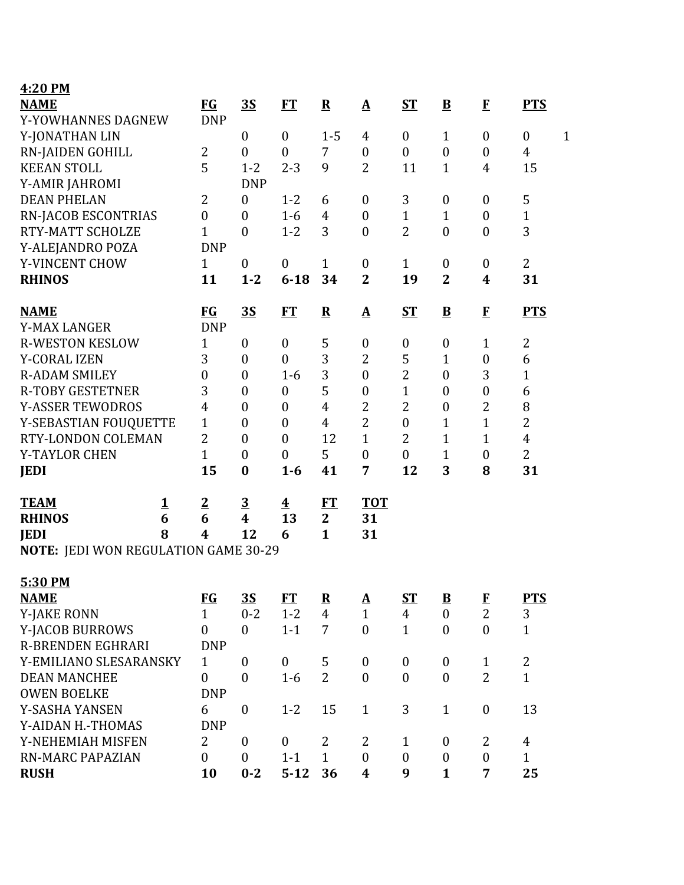| 4:20 PM                              |          |                  |                         |                         |                |                          |                  |                          |                  |                                  |  |
|--------------------------------------|----------|------------------|-------------------------|-------------------------|----------------|--------------------------|------------------|--------------------------|------------------|----------------------------------|--|
| <b>NAME</b>                          |          | $FG$             | <u>35</u>               | ET                      | ${\bf R}$      | $\mathbf{\underline{A}}$ | $ST$             | $\overline{\mathbf{B}}$  | $\mathbf{F}$     | <b>PTS</b>                       |  |
| Y-YOWHANNES DAGNEW                   |          | <b>DNP</b>       |                         |                         |                |                          |                  |                          |                  |                                  |  |
| Y-JONATHAN LIN                       |          |                  | $\mathbf{0}$            | $\boldsymbol{0}$        | $1 - 5$        | 4                        | $\boldsymbol{0}$ | $\mathbf{1}$             | $\boldsymbol{0}$ | $\mathbf{1}$<br>$\boldsymbol{0}$ |  |
| <b>RN-JAIDEN GOHILL</b>              |          | 2                | $\mathbf{0}$            | $\boldsymbol{0}$        | $\overline{7}$ | $\boldsymbol{0}$         | $\boldsymbol{0}$ | $\boldsymbol{0}$         | $\boldsymbol{0}$ | $\overline{4}$                   |  |
| <b>KEEAN STOLL</b>                   |          | 5                | $1 - 2$                 | $2 - 3$                 | 9              | $\overline{2}$           | 11               | $\mathbf{1}$             | $\overline{4}$   | 15                               |  |
| Y-AMIR JAHROMI                       |          |                  | <b>DNP</b>              |                         |                |                          |                  |                          |                  |                                  |  |
| <b>DEAN PHELAN</b>                   |          | $\overline{2}$   | $\boldsymbol{0}$        | $1 - 2$                 | 6              | $\boldsymbol{0}$         | 3                | $\boldsymbol{0}$         | $\boldsymbol{0}$ | 5                                |  |
| <b>RN-JACOB ESCONTRIAS</b>           |          | $\boldsymbol{0}$ | $\mathbf{0}$            | $1-6$                   | 4              | $\boldsymbol{0}$         | $\mathbf{1}$     | $\mathbf 1$              | $\boldsymbol{0}$ | $\mathbf{1}$                     |  |
| RTY-MATT SCHOLZE                     |          | $\mathbf{1}$     | $\mathbf{0}$            | $1 - 2$                 | 3              | $\boldsymbol{0}$         | $\overline{2}$   | $\boldsymbol{0}$         | $\boldsymbol{0}$ | 3                                |  |
| Y-ALEJANDRO POZA                     |          | <b>DNP</b>       |                         |                         |                |                          |                  |                          |                  |                                  |  |
| Y-VINCENT CHOW                       |          | $\mathbf{1}$     | $\mathbf{0}$            | $\boldsymbol{0}$        | $\mathbf{1}$   | $\boldsymbol{0}$         | $\mathbf{1}$     | $\boldsymbol{0}$         | $\boldsymbol{0}$ | $\overline{2}$                   |  |
| <b>RHINOS</b>                        |          | 11               | $1 - 2$                 | $6 - 18$                | 34             | $\overline{2}$           | 19               | $\overline{2}$           | $\boldsymbol{4}$ | 31                               |  |
| <b>NAME</b>                          |          | $FG$             | 3S                      | FT                      | ${\bf R}$      | $\Delta$                 | $ST$             | $\underline{\mathbf{B}}$ | $\mathbf{F}$     | <b>PTS</b>                       |  |
| <b>Y-MAX LANGER</b>                  |          | <b>DNP</b>       |                         |                         |                |                          |                  |                          |                  |                                  |  |
| <b>R-WESTON KESLOW</b>               |          | 1                | $\mathbf{0}$            | $\boldsymbol{0}$        | 5              | $\boldsymbol{0}$         | $\boldsymbol{0}$ | $\boldsymbol{0}$         | 1                | $\sqrt{2}$                       |  |
| <b>Y-CORAL IZEN</b>                  |          | 3                | $\boldsymbol{0}$        | $\boldsymbol{0}$        | 3              | $\overline{2}$           | 5                | $\mathbf{1}$             | $\boldsymbol{0}$ | 6                                |  |
| <b>R-ADAM SMILEY</b>                 |          | $\boldsymbol{0}$ | $\boldsymbol{0}$        | $1 - 6$                 | 3              | $\boldsymbol{0}$         | $\overline{2}$   | $\boldsymbol{0}$         | 3                | $\mathbf{1}$                     |  |
| <b>R-TOBY GESTETNER</b>              |          | 3                | $\boldsymbol{0}$        | $\boldsymbol{0}$        | 5              | $\boldsymbol{0}$         | $\mathbf{1}$     | $\boldsymbol{0}$         | $\boldsymbol{0}$ | 6                                |  |
| <b>Y-ASSER TEWODROS</b>              |          | 4                | $\boldsymbol{0}$        | $\boldsymbol{0}$        | $\overline{4}$ | $\overline{2}$           | $\overline{2}$   | $\boldsymbol{0}$         | $\overline{2}$   | 8                                |  |
| Y-SEBASTIAN FOUQUETTE                |          | $\mathbf{1}$     | $\boldsymbol{0}$        | $\boldsymbol{0}$        | $\overline{4}$ | $\overline{2}$           | $\boldsymbol{0}$ | $\mathbf{1}$             | $\overline{1}$   | $\overline{2}$                   |  |
| RTY-LONDON COLEMAN                   |          | $\overline{2}$   | $\boldsymbol{0}$        | $\boldsymbol{0}$        | 12             | $\mathbf{1}$             | $\overline{2}$   | $\mathbf{1}$             | $\mathbf{1}$     | $\overline{4}$                   |  |
| Y-TAYLOR CHEN                        |          | $\mathbf{1}$     | $\boldsymbol{0}$        | $\boldsymbol{0}$        | 5              | $\boldsymbol{0}$         | $\boldsymbol{0}$ | $\mathbf{1}$             | $\boldsymbol{0}$ | $\overline{2}$                   |  |
| <b>JEDI</b>                          |          | 15               | $\boldsymbol{0}$        | $1 - 6$                 | 41             | 7                        | 12               | 3                        | 8                | 31                               |  |
| <b>TEAM</b>                          | <u>1</u> | $\overline{2}$   | $\overline{\mathbf{3}}$ | $\overline{\textbf{4}}$ | FT             | <b>TOT</b>               |                  |                          |                  |                                  |  |
| <b>RHINOS</b>                        | 6        | 6                | $\boldsymbol{4}$        | 13                      | $\mathbf{2}$   | 31                       |                  |                          |                  |                                  |  |
| <b>JEDI</b>                          | 8        | $\boldsymbol{4}$ | 12                      | 6                       | $\mathbf{1}$   | 31                       |                  |                          |                  |                                  |  |
| NOTE: JEDI WON REGULATION GAME 30-29 |          |                  |                         |                         |                |                          |                  |                          |                  |                                  |  |
| 5:30 PM                              |          |                  |                         |                         |                |                          |                  |                          |                  |                                  |  |
| <b>NAME</b>                          |          | $FG$             | $\overline{35}$         | ET                      | ${\bf R}$      | $\underline{\mathbf{A}}$ | <u>ST</u>        | $\overline{\mathbf{B}}$  | $\bf{F}$         | <b>PTS</b>                       |  |
| <b>Y-JAKE RONN</b>                   |          | $\mathbf{1}$     | $0 - 2$                 | $1 - 2$                 | $\overline{4}$ | $\mathbf{1}$             | $\overline{4}$   | $\boldsymbol{0}$         | $\overline{2}$   | 3                                |  |
| Y-JACOB BURROWS                      |          | $\mathbf{0}$     | $\theta$                | $1 - 1$                 | $\overline{7}$ | $\mathbf{0}$             | $\mathbf{1}$     | $\boldsymbol{0}$         | $\theta$         | $\mathbf{1}$                     |  |
| <b>R-BRENDEN EGHRARI</b>             |          | <b>DNP</b>       |                         |                         |                |                          |                  |                          |                  |                                  |  |
| Y-EMILIANO SLESARANSKY               |          | 1                | $\mathbf{0}$            | $\boldsymbol{0}$        | 5              | $\boldsymbol{0}$         | $\boldsymbol{0}$ | $\boldsymbol{0}$         | $\mathbf{1}$     | $\overline{c}$                   |  |
| <b>DEAN MANCHEE</b>                  |          | $\mathbf{0}$     | $\mathbf{0}$            | $1-6$                   | $\overline{2}$ | $\boldsymbol{0}$         | $\mathbf{0}$     | $\boldsymbol{0}$         | $\overline{2}$   | $\overline{1}$                   |  |
| <b>OWEN BOELKE</b>                   |          | <b>DNP</b>       |                         |                         |                |                          |                  |                          |                  |                                  |  |
| Y-SASHA YANSEN                       |          | 6                | $\boldsymbol{0}$        | $1 - 2$                 | 15             | $\mathbf{1}$             | 3                | $\mathbf{1}$             | $\boldsymbol{0}$ | 13                               |  |
| Y-AIDAN H.-THOMAS                    |          | <b>DNP</b>       |                         |                         |                |                          |                  |                          |                  |                                  |  |
| Y-NEHEMIAH MISFEN                    |          | $\overline{2}$   | $\mathbf{0}$            | $\boldsymbol{0}$        | $\overline{2}$ | 2                        | $\mathbf{1}$     | $\boldsymbol{0}$         | 2                | $\overline{4}$                   |  |
| <b>RN-MARC PAPAZIAN</b>              |          | $\mathbf{0}$     | $\mathbf{0}$            | $1 - 1$                 | $\mathbf{1}$   | $\boldsymbol{0}$         | $\mathbf{0}$     | $\boldsymbol{0}$         | $\boldsymbol{0}$ | $\mathbf{1}$                     |  |
| <b>RUSH</b>                          |          | 10               | $0 - 2$                 | $5 - 12$                | 36             | 4                        | 9                | $\mathbf{1}$             | $\overline{7}$   | 25                               |  |